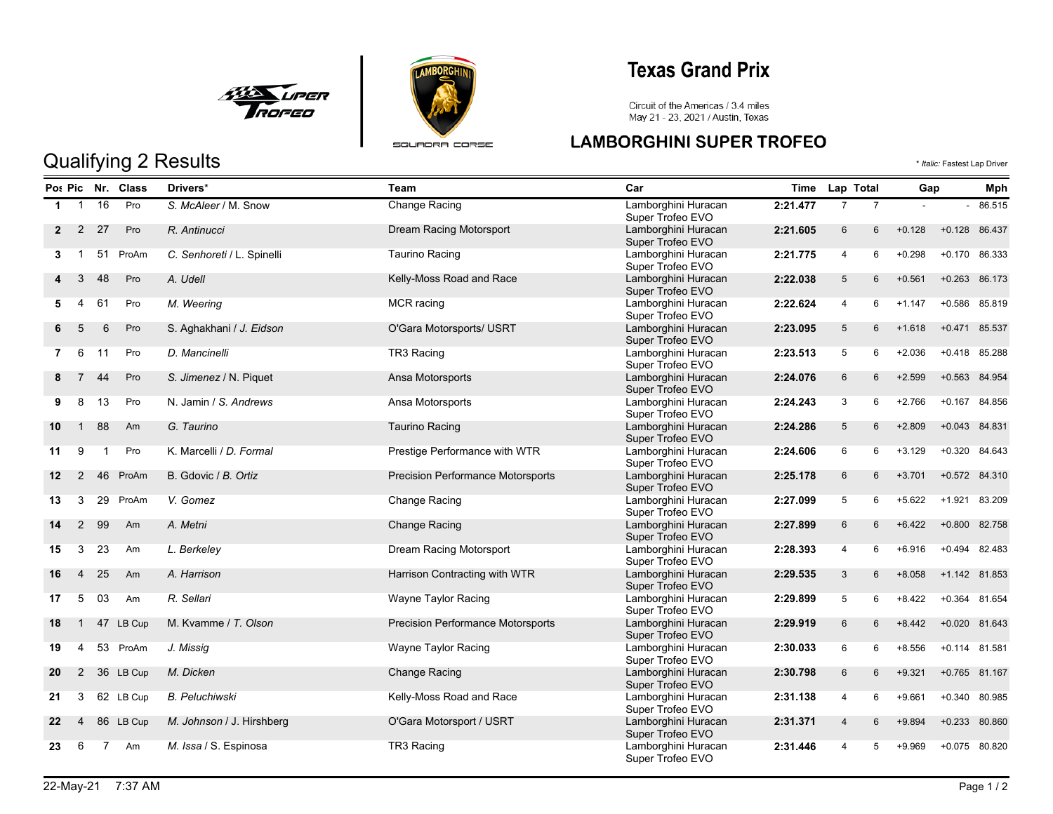



## **Texas Grand Prix**

Circuit of the Americas / 3.4 miles<br>May 21 - 23, 2021 / Austin, Texas

### **LAMBORGHINI SUPER TROFEO** Qualifying 2 Results  $\bullet$  *Italic:* Fastest Lap Driver

|                |                |                | Po: Pic Nr. Class | Drivers*                   | Team                                     | Car                                     | Time     | Lap Total       |                |          | Gap             |        |
|----------------|----------------|----------------|-------------------|----------------------------|------------------------------------------|-----------------------------------------|----------|-----------------|----------------|----------|-----------------|--------|
| $\mathbf 1$    | $\overline{1}$ | 16             | Pro               | S. McAleer / M. Snow       | <b>Change Racing</b>                     | Lamborghini Huracan<br>Super Trofeo EVO | 2:21.477 | $\overline{7}$  | $\overline{7}$ |          | $\overline{a}$  | 86.515 |
| $\mathbf{2}$   | 2              | 27             | Pro               | R. Antinucci               | Dream Racing Motorsport                  | Lamborghini Huracan<br>Super Trofeo EVO | 2:21.605 | $6\overline{6}$ | 6              | $+0.128$ | +0.128 86.437   |        |
| 3              | $\mathbf{1}$   | 51             | ProAm             | C. Senhoreti / L. Spinelli | <b>Taurino Racing</b>                    | Lamborghini Huracan<br>Super Trofeo EVO | 2:21.775 | $\overline{4}$  | 6              | $+0.298$ | $+0.170$        | 86.333 |
|                | 3              | 48             | Pro               | A. Udell                   | Kelly-Moss Road and Race                 | Lamborghini Huracan<br>Super Trofeo EVO | 2:22.038 | $5\overline{)}$ | 6              | $+0.561$ | $+0.263$ 86.173 |        |
| 5              | $\overline{4}$ | 61             | Pro               | M. Weering                 | MCR racing                               | Lamborghini Huracan<br>Super Trofeo EVO | 2:22.624 | $\overline{4}$  | 6              | $+1.147$ | $+0.586$        | 85.819 |
|                | 5              | 6              | Pro               | S. Aghakhani / J. Eidson   | O'Gara Motorsports/ USRT                 | Lamborghini Huracan<br>Super Trofeo EVO | 2:23.095 | $5\overline{)}$ | 6              | $+1.618$ | +0.471 85.537   |        |
| $\overline{7}$ | - 6            | 11             | Pro               | D. Mancinelli              | TR3 Racing                               | Lamborghini Huracan<br>Super Trofeo EVO | 2:23.513 | 5               | 6              | $+2.036$ | $+0.418$        | 85.288 |
| 8              | 7              | 44             | Pro               | S. Jimenez / N. Piquet     | Ansa Motorsports                         | Lamborghini Huracan<br>Super Trofeo EVO | 2:24.076 | $6\overline{6}$ | 6              | $+2.599$ | $+0.563$        | 84.954 |
| 9              | 8              | 13             | Pro               | N. Jamin / S. Andrews      | Ansa Motorsports                         | Lamborghini Huracan<br>Super Trofeo EVO | 2:24.243 | 3               | 6              | $+2.766$ | $+0.167$        | 84.856 |
| 10             | $\mathbf{1}$   | 88             | Am                | G. Taurino                 | <b>Taurino Racing</b>                    | Lamborghini Huracan<br>Super Trofeo EVO | 2:24.286 | $5\overline{)}$ | 6              | $+2.809$ | $+0.043$        | 84.831 |
| 11             | 9              | $\mathbf{1}$   | Pro               | K. Marcelli / D. Formal    | Prestige Performance with WTR            | Lamborghini Huracan<br>Super Trofeo EVO | 2:24.606 | 6               | 6              | $+3.129$ | $+0.320$        | 84.643 |
| 12             | $\overline{2}$ | 46             | ProAm             | B. Gdovic / B. Ortiz       | <b>Precision Performance Motorsports</b> | Lamborghini Huracan<br>Super Trofeo EVO | 2:25.178 | $6\overline{6}$ | 6              | $+3.701$ | $+0.572$        | 84.310 |
| 13             | 3              | 29             | ProAm             | V. Gomez                   | Change Racing                            | Lamborghini Huracan<br>Super Trofeo EVO | 2:27.099 | 5               | 6              | $+5.622$ | $+1.921$        | 83.209 |
| 14             | 2              | 99             | Am                | A. Metni                   | <b>Change Racing</b>                     | Lamborghini Huracan<br>Super Trofeo EVO | 2:27.899 | 6               | 6              | $+6.422$ | $+0.800$        | 82.758 |
| 15             | 3              | 23             | Am                | L. Berkeley                | Dream Racing Motorsport                  | Lamborghini Huracan<br>Super Trofeo EVO | 2:28.393 | 4               | 6              | $+6.916$ | $+0.494$        | 82.483 |
| 16             | 4              | 25             | Am                | A. Harrison                | Harrison Contracting with WTR            | Lamborghini Huracan<br>Super Trofeo EVO | 2:29.535 | $\mathbf{3}$    | 6              | $+8.058$ | +1.142 81.853   |        |
| 17             | 5              | 03             | Am                | R. Sellari                 | Wayne Taylor Racing                      | Lamborghini Huracan<br>Super Trofeo EVO | 2:29.899 | 5               | 6              | $+8.422$ | $+0.364$        | 81.654 |
| 18             | $\mathbf{1}$   | 47             | LB Cup            | M. Kvamme / T. Olson       | <b>Precision Performance Motorsports</b> | Lamborghini Huracan<br>Super Trofeo EVO | 2:29.919 | $6\overline{6}$ | 6              | $+8.442$ | $+0.020$        | 81.643 |
| 19             | 4              |                | 53 ProAm          | J. Missig                  | Wayne Taylor Racing                      | Lamborghini Huracan<br>Super Trofeo EVO | 2:30.033 | 6               | 6              | $+8.556$ | $+0.114$        | 81.581 |
| 20             | $\overline{2}$ |                | 36 LB Cup         | M. Dicken                  | <b>Change Racing</b>                     | Lamborghini Huracan<br>Super Trofeo EVO | 2:30.798 | $6\overline{6}$ | 6              | $+9.321$ | +0.765 81.167   |        |
| 21             | 3              |                | 62 LB Cup         | <b>B. Peluchiwski</b>      | Kelly-Moss Road and Race                 | Lamborghini Huracan<br>Super Trofeo EVO | 2:31.138 | 4               | 6              | $+9.661$ | $+0.340$        | 80.985 |
| 22             | 4              |                | 86 LB Cup         | M. Johnson / J. Hirshberg  | O'Gara Motorsport / USRT                 | Lamborghini Huracan<br>Super Trofeo EVO | 2:31.371 | 4               | 6              | $+9.894$ | $+0.233$        | 80.860 |
| 23             | 6              | $\overline{7}$ | Am                | M. Issa / S. Espinosa      | TR3 Racing                               | Lamborghini Huracan<br>Super Trofeo EVO | 2:31.446 | 4               | 5              | $+9.969$ | $+0.075$        | 80.820 |

#### 22-May-21 7:37 AM Page 1 / 2